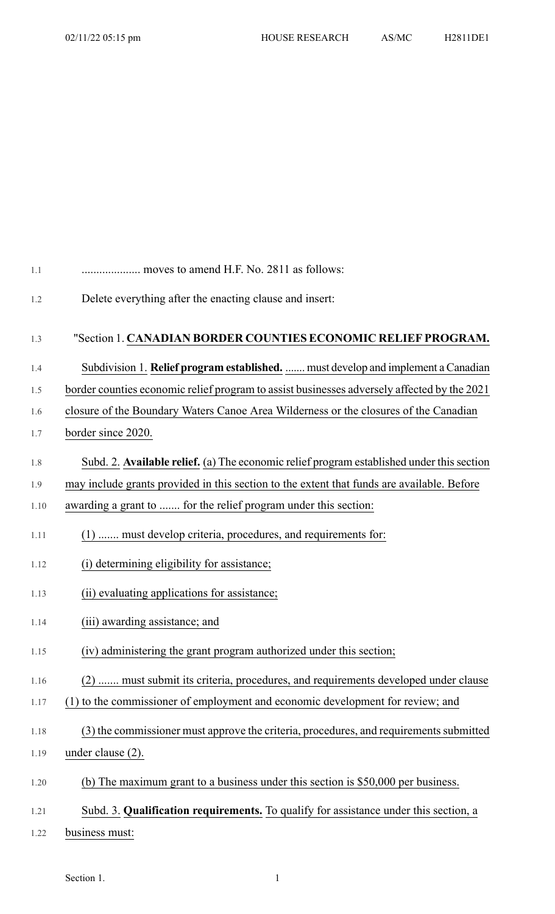| 1.1  | moves to amend H.F. No. 2811 as follows:                                                    |
|------|---------------------------------------------------------------------------------------------|
| 1.2  | Delete everything after the enacting clause and insert:                                     |
|      |                                                                                             |
| 1.3  | "Section 1. CANADIAN BORDER COUNTIES ECONOMIC RELIEF PROGRAM.                               |
| 1.4  | Subdivision 1. Relief program established.  must develop and implement a Canadian           |
| 1.5  | border counties economic relief program to assist businesses adversely affected by the 2021 |
| 1.6  | closure of the Boundary Waters Canoe Area Wilderness or the closures of the Canadian        |
| 1.7  | border since 2020.                                                                          |
| 1.8  | Subd. 2. Available relief. (a) The economic relief program established under this section   |
| 1.9  | may include grants provided in this section to the extent that funds are available. Before  |
| 1.10 | awarding a grant to  for the relief program under this section:                             |
| 1.11 | (1)  must develop criteria, procedures, and requirements for:                               |
| 1.12 | (i) determining eligibility for assistance;                                                 |
| 1.13 | (ii) evaluating applications for assistance;                                                |
| 1.14 | (iii) awarding assistance; and                                                              |
| 1.15 | (iv) administering the grant program authorized under this section;                         |
| 1.16 | (2)  must submit its criteria, procedures, and requirements developed under clause          |
| 1.17 | (1) to the commissioner of employment and economic development for review; and              |
| 1.18 | (3) the commissioner must approve the criteria, procedures, and requirements submitted      |
| 1.19 | under clause $(2)$ .                                                                        |
| 1.20 | (b) The maximum grant to a business under this section is $$50,000$ per business.           |
| 1.21 | Subd. 3. Qualification requirements. To qualify for assistance under this section, a        |
| 1.22 | business must:                                                                              |

Section 1. 1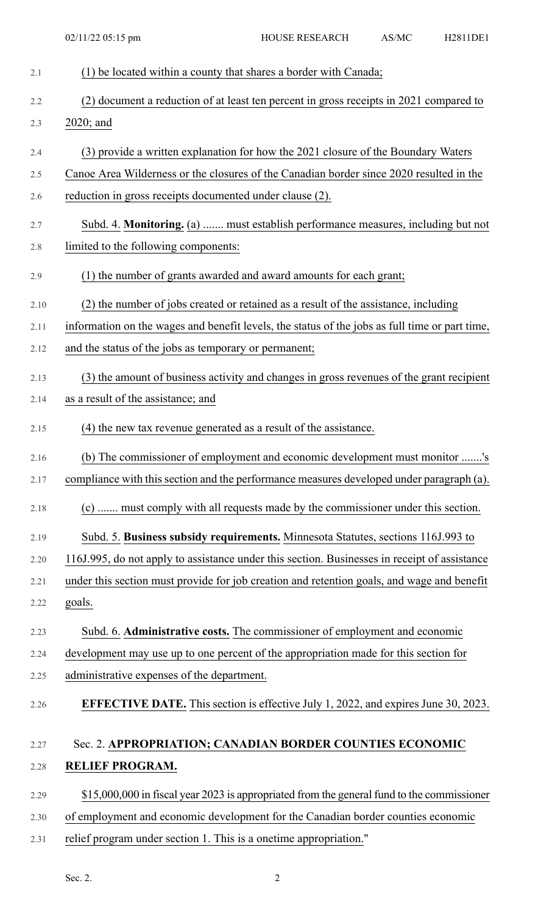| 2.1  | (1) be located within a county that shares a border with Canada;                               |
|------|------------------------------------------------------------------------------------------------|
| 2.2  | (2) document a reduction of at least ten percent in gross receipts in 2021 compared to         |
| 2.3  | 2020; and                                                                                      |
| 2.4  | (3) provide a written explanation for how the 2021 closure of the Boundary Waters              |
| 2.5  | Canoe Area Wilderness or the closures of the Canadian border since 2020 resulted in the        |
| 2.6  | reduction in gross receipts documented under clause (2).                                       |
| 2.7  | Subd. 4. Monitoring. (a)  must establish performance measures, including but not               |
| 2.8  | limited to the following components:                                                           |
| 2.9  | (1) the number of grants awarded and award amounts for each grant;                             |
| 2.10 | (2) the number of jobs created or retained as a result of the assistance, including            |
| 2.11 | information on the wages and benefit levels, the status of the jobs as full time or part time, |
| 2.12 | and the status of the jobs as temporary or permanent;                                          |
| 2.13 | (3) the amount of business activity and changes in gross revenues of the grant recipient       |
| 2.14 | as a result of the assistance; and                                                             |
| 2.15 | (4) the new tax revenue generated as a result of the assistance.                               |
| 2.16 | (b) The commissioner of employment and economic development must monitor 's                    |
| 2.17 | compliance with this section and the performance measures developed under paragraph (a).       |
| 2.18 | (c)  must comply with all requests made by the commissioner under this section.                |
| 2.19 | Subd. 5. Business subsidy requirements. Minnesota Statutes, sections 116J.993 to               |
| 2.20 | 116J.995, do not apply to assistance under this section. Businesses in receipt of assistance   |
| 2.21 | under this section must provide for job creation and retention goals, and wage and benefit     |
| 2.22 | goals.                                                                                         |
| 2.23 | Subd. 6. Administrative costs. The commissioner of employment and economic                     |
| 2.24 | development may use up to one percent of the appropriation made for this section for           |
| 2.25 | administrative expenses of the department.                                                     |
| 2.26 | <b>EFFECTIVE DATE.</b> This section is effective July 1, 2022, and expires June 30, 2023.      |
| 2.27 | Sec. 2. APPROPRIATION; CANADIAN BORDER COUNTIES ECONOMIC                                       |
| 2.28 | RELIEF PROGRAM.                                                                                |
| 2.29 | \$15,000,000 in fiscal year 2023 is appropriated from the general fund to the commissioner     |
| 2.30 | of employment and economic development for the Canadian border counties economic               |
| 2.31 | relief program under section 1. This is a onetime appropriation."                              |
|      |                                                                                                |